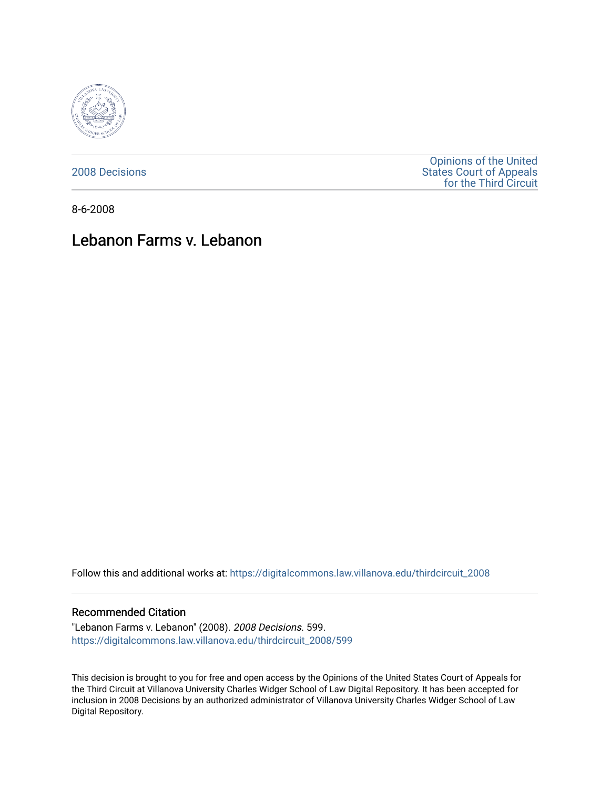

[2008 Decisions](https://digitalcommons.law.villanova.edu/thirdcircuit_2008)

[Opinions of the United](https://digitalcommons.law.villanova.edu/thirdcircuit)  [States Court of Appeals](https://digitalcommons.law.villanova.edu/thirdcircuit)  [for the Third Circuit](https://digitalcommons.law.villanova.edu/thirdcircuit) 

8-6-2008

# Lebanon Farms v. Lebanon

Follow this and additional works at: [https://digitalcommons.law.villanova.edu/thirdcircuit\\_2008](https://digitalcommons.law.villanova.edu/thirdcircuit_2008?utm_source=digitalcommons.law.villanova.edu%2Fthirdcircuit_2008%2F599&utm_medium=PDF&utm_campaign=PDFCoverPages) 

#### Recommended Citation

"Lebanon Farms v. Lebanon" (2008). 2008 Decisions. 599. [https://digitalcommons.law.villanova.edu/thirdcircuit\\_2008/599](https://digitalcommons.law.villanova.edu/thirdcircuit_2008/599?utm_source=digitalcommons.law.villanova.edu%2Fthirdcircuit_2008%2F599&utm_medium=PDF&utm_campaign=PDFCoverPages)

This decision is brought to you for free and open access by the Opinions of the United States Court of Appeals for the Third Circuit at Villanova University Charles Widger School of Law Digital Repository. It has been accepted for inclusion in 2008 Decisions by an authorized administrator of Villanova University Charles Widger School of Law Digital Repository.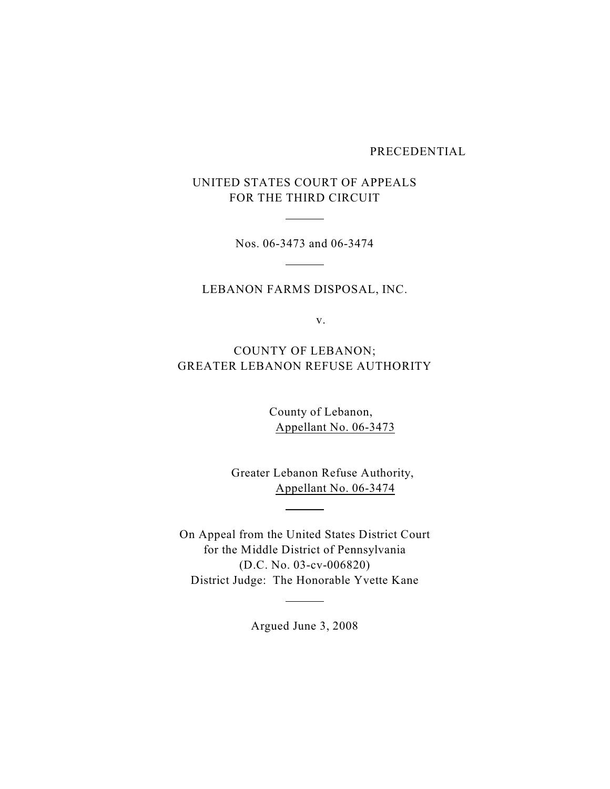PRECEDENTIAL

UNITED STATES COURT OF APPEALS FOR THE THIRD CIRCUIT

 $\overline{a}$ 

 $\sim$ 

Nos. 06-3473 and 06-3474

LEBANON FARMS DISPOSAL, INC.

v.

COUNTY OF LEBANON; GREATER LEBANON REFUSE AUTHORITY

> County of Lebanon, Appellant No. 06-3473

 Greater Lebanon Refuse Authority, Appellant No. 06-3474

On Appeal from the United States District Court for the Middle District of Pennsylvania (D.C. No. 03-cv-006820) District Judge: The Honorable Yvette Kane

 $\overline{a}$ 

 $\overline{a}$ 

Argued June 3, 2008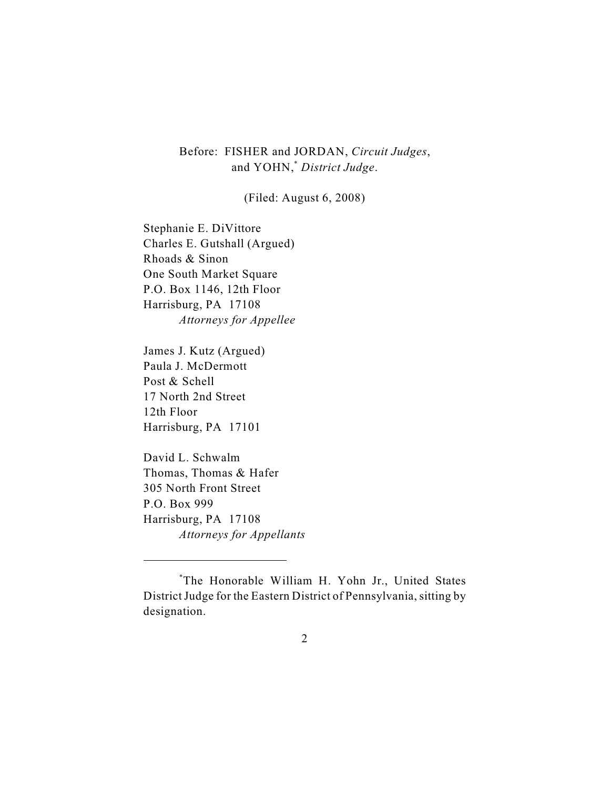# Before: FISHER and JORDAN, *Circuit Judges*, and YOHN,<sup>\*</sup> District Judge.

(Filed: August 6, 2008)

Stephanie E. DiVittore Charles E. Gutshall (Argued) Rhoads & Sinon One South Market Square P.O. Box 1146, 12th Floor Harrisburg, PA 17108 *Attorneys for Appellee*

James J. Kutz (Argued) Paula J. McDermott Post & Schell 17 North 2nd Street 12th Floor Harrisburg, PA 17101

David L. Schwalm Thomas, Thomas & Hafer 305 North Front Street P.O. Box 999 Harrisburg, PA 17108 *Attorneys for Appellants*

The Honorable William H. Yohn Jr., United States \* District Judge for the Eastern District of Pennsylvania, sitting by designation.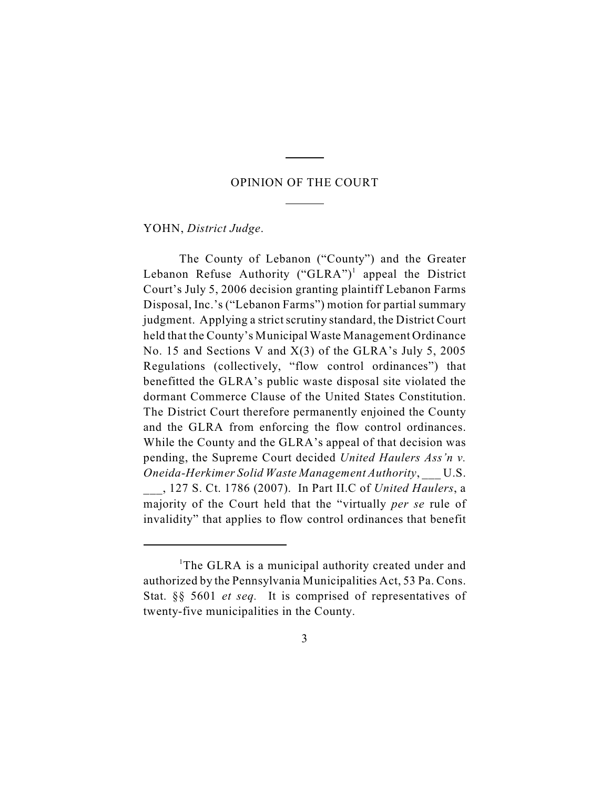## OPINION OF THE COURT

 $\overline{a}$ 

 $\overline{a}$ 

YOHN, *District Judge*.

The County of Lebanon ("County") and the Greater Lebanon Refuse Authority ("GLRA")<sup>1</sup> appeal the District Court's July 5, 2006 decision granting plaintiff Lebanon Farms Disposal, Inc.'s ("Lebanon Farms") motion for partial summary judgment. Applying a strict scrutiny standard, the District Court held that the County's Municipal Waste Management Ordinance No. 15 and Sections V and X(3) of the GLRA's July 5, 2005 Regulations (collectively, "flow control ordinances") that benefitted the GLRA's public waste disposal site violated the dormant Commerce Clause of the United States Constitution. The District Court therefore permanently enjoined the County and the GLRA from enforcing the flow control ordinances. While the County and the GLRA's appeal of that decision was pending, the Supreme Court decided *United Haulers Ass'n v. Oneida-Herkimer Solid Waste Management Authority*, \_\_\_ U.S. \_\_\_, 127 S. Ct. 1786 (2007). In Part II.C of *United Haulers*, a majority of the Court held that the "virtually *per se* rule of invalidity" that applies to flow control ordinances that benefit

<sup>&</sup>lt;sup>1</sup>The GLRA is a municipal authority created under and authorized by the Pennsylvania Municipalities Act, 53 Pa. Cons. Stat. §§ 5601 *et seq.* It is comprised of representatives of twenty-five municipalities in the County.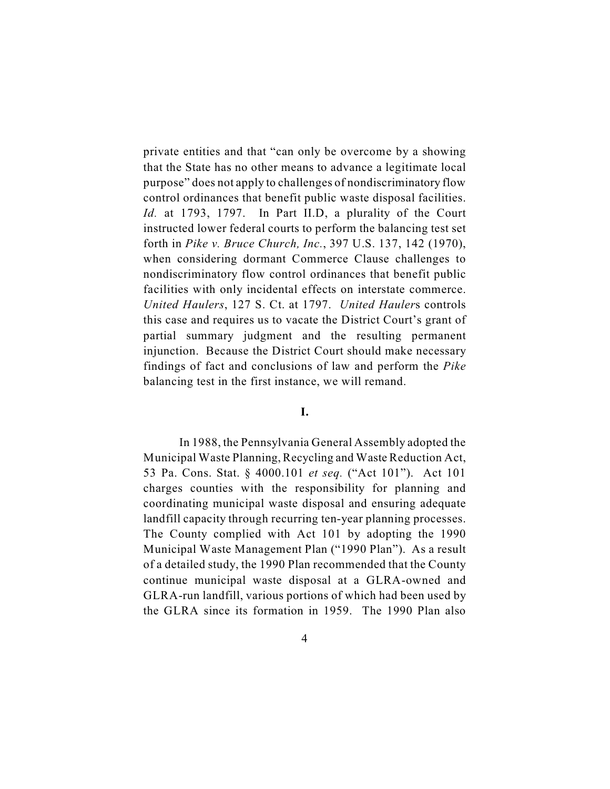private entities and that "can only be overcome by a showing that the State has no other means to advance a legitimate local purpose" does not apply to challenges of nondiscriminatory flow control ordinances that benefit public waste disposal facilities. *Id.* at 1793, 1797. In Part II.D, a plurality of the Court instructed lower federal courts to perform the balancing test set forth in *Pike v. Bruce Church, Inc.*, 397 U.S. 137, 142 (1970), when considering dormant Commerce Clause challenges to nondiscriminatory flow control ordinances that benefit public facilities with only incidental effects on interstate commerce. *United Haulers*, 127 S. Ct. at 1797. *United Hauler*s controls this case and requires us to vacate the District Court's grant of partial summary judgment and the resulting permanent injunction. Because the District Court should make necessary findings of fact and conclusions of law and perform the *Pike* balancing test in the first instance, we will remand.

#### **I.**

In 1988, the Pennsylvania General Assembly adopted the Municipal Waste Planning, Recycling and Waste Reduction Act, 53 Pa. Cons. Stat. § 4000.101 *et seq.* ("Act 101"). Act 101 charges counties with the responsibility for planning and coordinating municipal waste disposal and ensuring adequate landfill capacity through recurring ten-year planning processes. The County complied with Act 101 by adopting the 1990 Municipal Waste Management Plan ("1990 Plan"). As a result of a detailed study, the 1990 Plan recommended that the County continue municipal waste disposal at a GLRA-owned and GLRA-run landfill, various portions of which had been used by the GLRA since its formation in 1959. The 1990 Plan also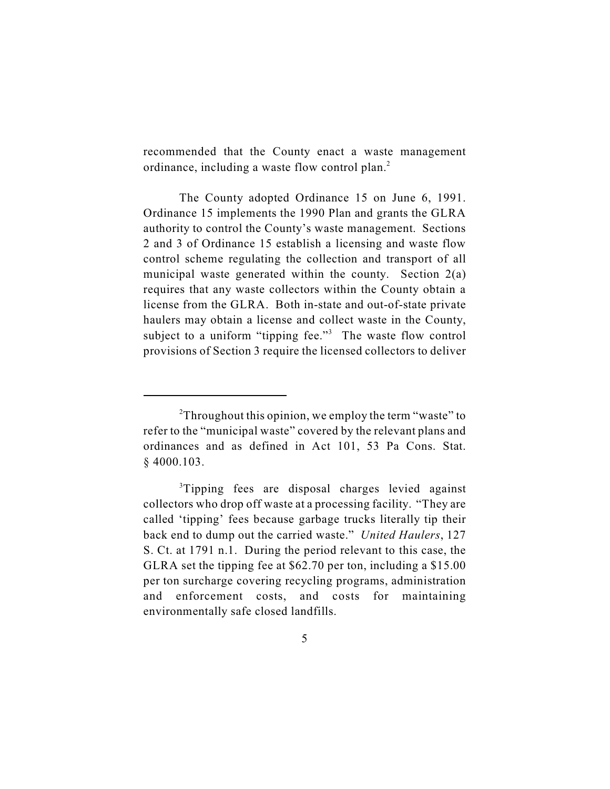recommended that the County enact a waste management ordinance, including a waste flow control plan.<sup>2</sup>

The County adopted Ordinance 15 on June 6, 1991. Ordinance 15 implements the 1990 Plan and grants the GLRA authority to control the County's waste management. Sections 2 and 3 of Ordinance 15 establish a licensing and waste flow control scheme regulating the collection and transport of all municipal waste generated within the county. Section 2(a) requires that any waste collectors within the County obtain a license from the GLRA. Both in-state and out-of-state private haulers may obtain a license and collect waste in the County, subject to a uniform "tipping fee."<sup>3</sup> The waste flow control provisions of Section 3 require the licensed collectors to deliver

 $2$ Throughout this opinion, we employ the term "waste" to refer to the "municipal waste" covered by the relevant plans and ordinances and as defined in Act 101, 53 Pa Cons. Stat. § 4000.103.

<sup>&</sup>lt;sup>3</sup>Tipping fees are disposal charges levied against collectors who drop off waste at a processing facility. "They are called 'tipping' fees because garbage trucks literally tip their back end to dump out the carried waste." *United Haulers*, 127 S. Ct. at 1791 n.1. During the period relevant to this case, the GLRA set the tipping fee at \$62.70 per ton, including a \$15.00 per ton surcharge covering recycling programs, administration and enforcement costs, and costs for maintaining environmentally safe closed landfills.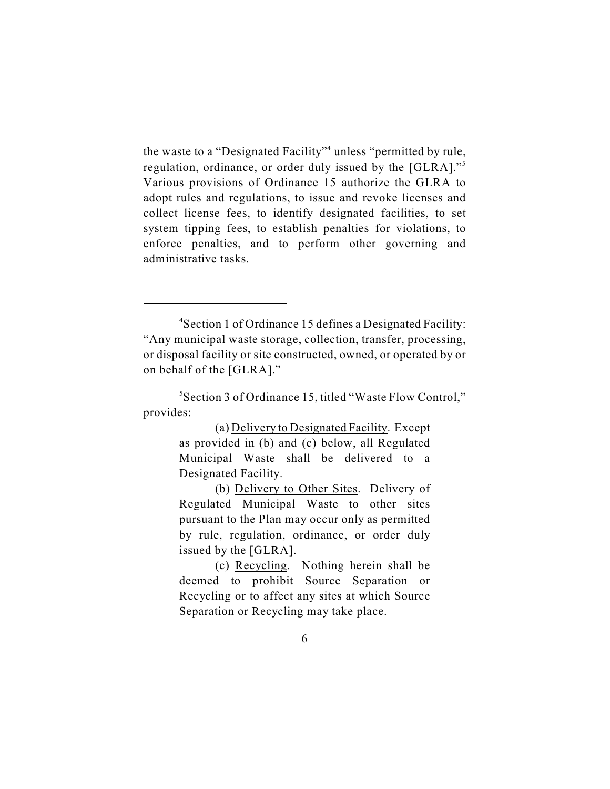the waste to a "Designated Facility"<sup>4</sup> unless "permitted by rule, regulation, ordinance, or order duly issued by the [GLRA]."<sup>5</sup> Various provisions of Ordinance 15 authorize the GLRA to adopt rules and regulations, to issue and revoke licenses and collect license fees, to identify designated facilities, to set system tipping fees, to establish penalties for violations, to enforce penalties, and to perform other governing and administrative tasks.

(a) Delivery to Designated Facility. Except as provided in (b) and (c) below, all Regulated Municipal Waste shall be delivered to a Designated Facility.

(b) Delivery to Other Sites. Delivery of Regulated Municipal Waste to other sites pursuant to the Plan may occur only as permitted by rule, regulation, ordinance, or order duly issued by the [GLRA].

(c) Recycling. Nothing herein shall be deemed to prohibit Source Separation or Recycling or to affect any sites at which Source Separation or Recycling may take place.

<sup>&</sup>lt;sup>4</sup>Section 1 of Ordinance 15 defines a Designated Facility: "Any municipal waste storage, collection, transfer, processing, or disposal facility or site constructed, owned, or operated by or on behalf of the [GLRA]."

<sup>&</sup>lt;sup>5</sup> Section 3 of Ordinance 15, titled "Waste Flow Control," provides: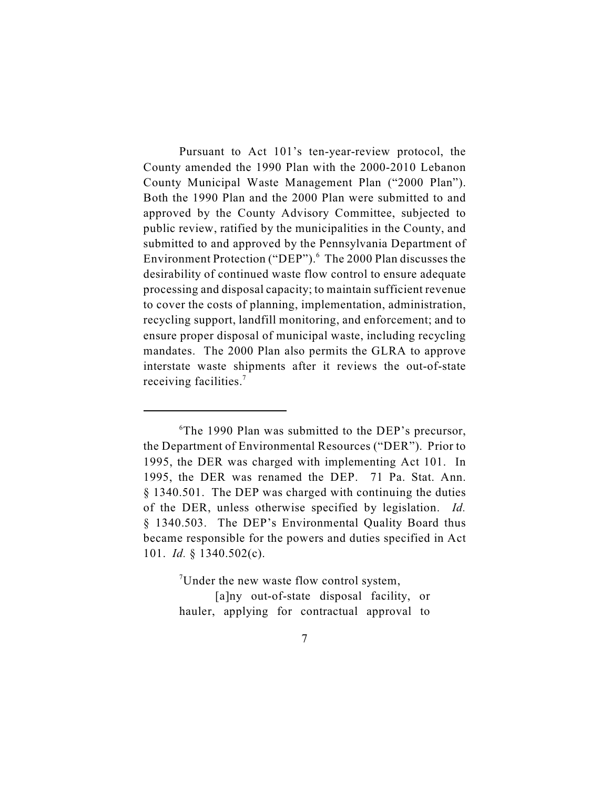Pursuant to Act 101's ten-year-review protocol, the County amended the 1990 Plan with the 2000-2010 Lebanon County Municipal Waste Management Plan ("2000 Plan"). Both the 1990 Plan and the 2000 Plan were submitted to and approved by the County Advisory Committee, subjected to public review, ratified by the municipalities in the County, and submitted to and approved by the Pennsylvania Department of Environment Protection ("DEP").<sup>6</sup> The 2000 Plan discusses the desirability of continued waste flow control to ensure adequate processing and disposal capacity; to maintain sufficient revenue to cover the costs of planning, implementation, administration, recycling support, landfill monitoring, and enforcement; and to ensure proper disposal of municipal waste, including recycling mandates. The 2000 Plan also permits the GLRA to approve interstate waste shipments after it reviews the out-of-state receiving facilities.<sup>7</sup>

Under the new waste flow control system,

[a]ny out-of-state disposal facility, or hauler, applying for contractual approval to

 ${}^6$ The 1990 Plan was submitted to the DEP's precursor, the Department of Environmental Resources ("DER"). Prior to 1995, the DER was charged with implementing Act 101. In 1995, the DER was renamed the DEP. 71 Pa. Stat. Ann. § 1340.501. The DEP was charged with continuing the duties of the DER, unless otherwise specified by legislation. *Id.* § 1340.503. The DEP's Environmental Quality Board thus became responsible for the powers and duties specified in Act 101. *Id.* § 1340.502(c).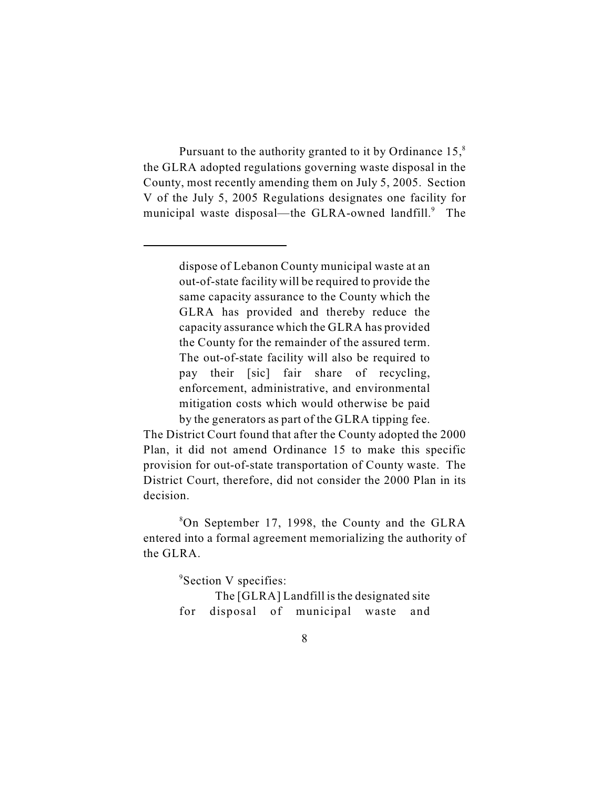Pursuant to the authority granted to it by Ordinance  $15<sup>8</sup>$ the GLRA adopted regulations governing waste disposal in the County, most recently amending them on July 5, 2005. Section V of the July 5, 2005 Regulations designates one facility for municipal waste disposal—the GLRA-owned landfill.<sup>9</sup> The

> dispose of Lebanon County municipal waste at an out-of-state facility will be required to provide the same capacity assurance to the County which the GLRA has provided and thereby reduce the capacity assurance which the GLRA has provided the County for the remainder of the assured term. The out-of-state facility will also be required to pay their [sic] fair share of recycling, enforcement, administrative, and environmental mitigation costs which would otherwise be paid by the generators as part of the GLRA tipping fee.

The District Court found that after the County adopted the 2000 Plan, it did not amend Ordinance 15 to make this specific provision for out-of-state transportation of County waste. The District Court, therefore, did not consider the 2000 Plan in its decision.

 $8$ On September 17, 1998, the County and the GLRA entered into a formal agreement memorializing the authority of the GLRA.

 $\mathrm{{}^{9}S}$ ection V specifies:

The [GLRA] Landfill is the designated site for disposal of municipal waste and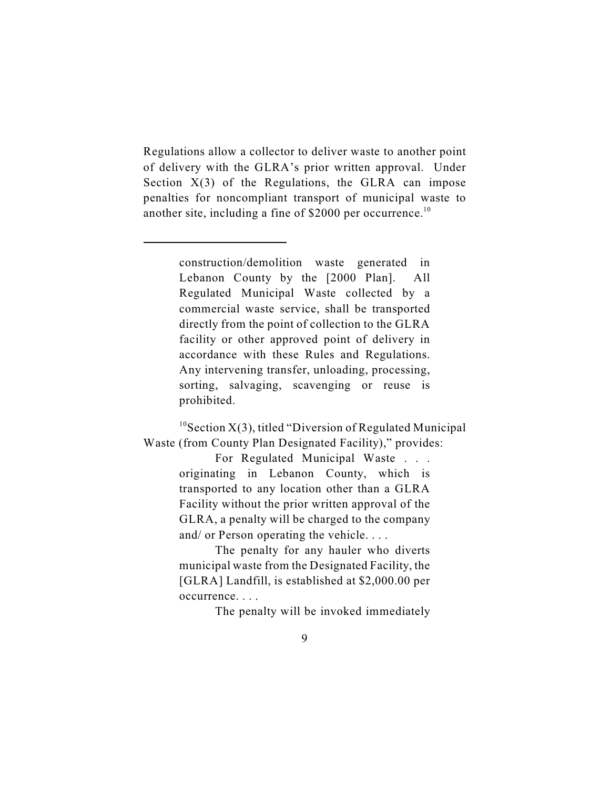Regulations allow a collector to deliver waste to another point of delivery with the GLRA's prior written approval. Under Section  $X(3)$  of the Regulations, the GLRA can impose penalties for noncompliant transport of municipal waste to another site, including a fine of \$2000 per occurrence.<sup>10</sup>

> construction/demolition waste generated in Lebanon County by the [2000 Plan]. All Regulated Municipal Waste collected by a commercial waste service, shall be transported directly from the point of collection to the GLRA facility or other approved point of delivery in accordance with these Rules and Regulations. Any intervening transfer, unloading, processing, sorting, salvaging, scavenging or reuse is prohibited.

 $10$  Section X(3), titled "Diversion of Regulated Municipal Waste (from County Plan Designated Facility)," provides:

> For Regulated Municipal Waste . . . originating in Lebanon County, which is transported to any location other than a GLRA Facility without the prior written approval of the GLRA, a penalty will be charged to the company and/ or Person operating the vehicle. . . .

> The penalty for any hauler who diverts municipal waste from the Designated Facility, the [GLRA] Landfill, is established at \$2,000.00 per occurrence. . . .

> > The penalty will be invoked immediately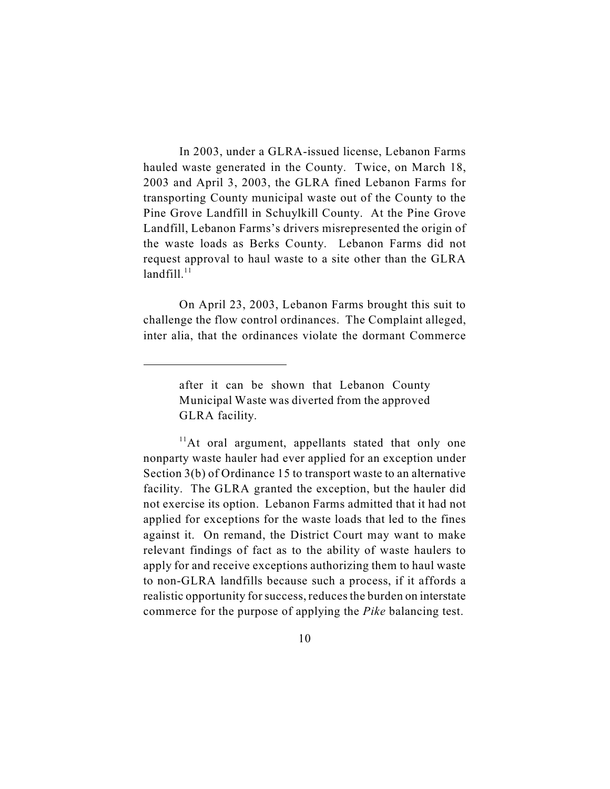In 2003, under a GLRA-issued license, Lebanon Farms hauled waste generated in the County. Twice, on March 18, 2003 and April 3, 2003, the GLRA fined Lebanon Farms for transporting County municipal waste out of the County to the Pine Grove Landfill in Schuylkill County. At the Pine Grove Landfill, Lebanon Farms's drivers misrepresented the origin of the waste loads as Berks County. Lebanon Farms did not request approval to haul waste to a site other than the GLRA landfill.<sup>11</sup>

On April 23, 2003, Lebanon Farms brought this suit to challenge the flow control ordinances. The Complaint alleged, inter alia, that the ordinances violate the dormant Commerce

after it can be shown that Lebanon County Municipal Waste was diverted from the approved GLRA facility.

 $<sup>11</sup>$ At oral argument, appellants stated that only one</sup> nonparty waste hauler had ever applied for an exception under Section 3(b) of Ordinance 15 to transport waste to an alternative facility. The GLRA granted the exception, but the hauler did not exercise its option. Lebanon Farms admitted that it had not applied for exceptions for the waste loads that led to the fines against it. On remand, the District Court may want to make relevant findings of fact as to the ability of waste haulers to apply for and receive exceptions authorizing them to haul waste to non-GLRA landfills because such a process, if it affords a realistic opportunity for success, reduces the burden on interstate commerce for the purpose of applying the *Pike* balancing test.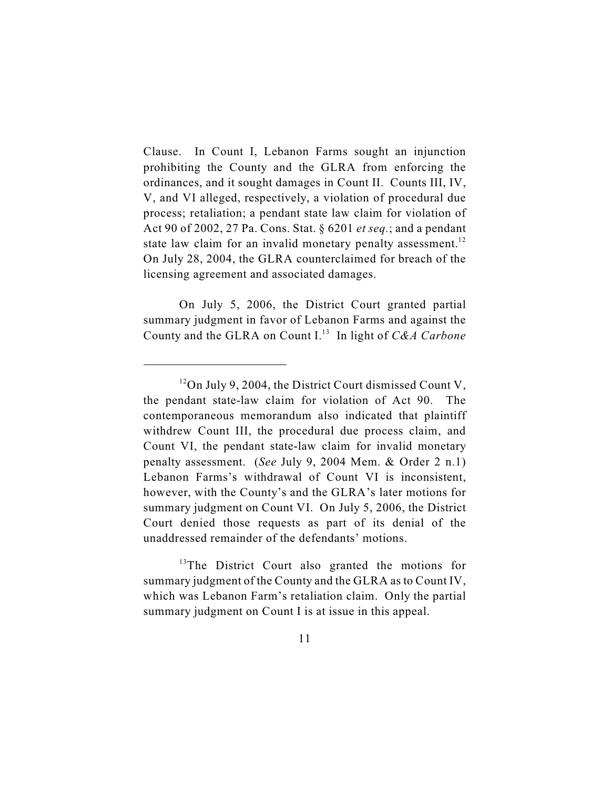Clause. In Count I, Lebanon Farms sought an injunction prohibiting the County and the GLRA from enforcing the ordinances, and it sought damages in Count II. Counts III, IV, V, and VI alleged, respectively, a violation of procedural due process; retaliation; a pendant state law claim for violation of Act 90 of 2002, 27 Pa. Cons. Stat. § 6201 *et seq.*; and a pendant state law claim for an invalid monetary penalty assessment.<sup>12</sup> On July 28, 2004, the GLRA counterclaimed for breach of the licensing agreement and associated damages.

On July 5, 2006, the District Court granted partial summary judgment in favor of Lebanon Farms and against the County and the GLRA on Count I.<sup>13</sup> In light of *C&A Carbone* 

 $13$ The District Court also granted the motions for summary judgment of the County and the GLRA as to Count IV, which was Lebanon Farm's retaliation claim. Only the partial summary judgment on Count I is at issue in this appeal.

 $12$ On July 9, 2004, the District Court dismissed Count V, the pendant state-law claim for violation of Act 90. The contemporaneous memorandum also indicated that plaintiff withdrew Count III, the procedural due process claim, and Count VI, the pendant state-law claim for invalid monetary penalty assessment. (*See* July 9, 2004 Mem. & Order 2 n.1) Lebanon Farms's withdrawal of Count VI is inconsistent, however, with the County's and the GLRA's later motions for summary judgment on Count VI. On July 5, 2006, the District Court denied those requests as part of its denial of the unaddressed remainder of the defendants' motions.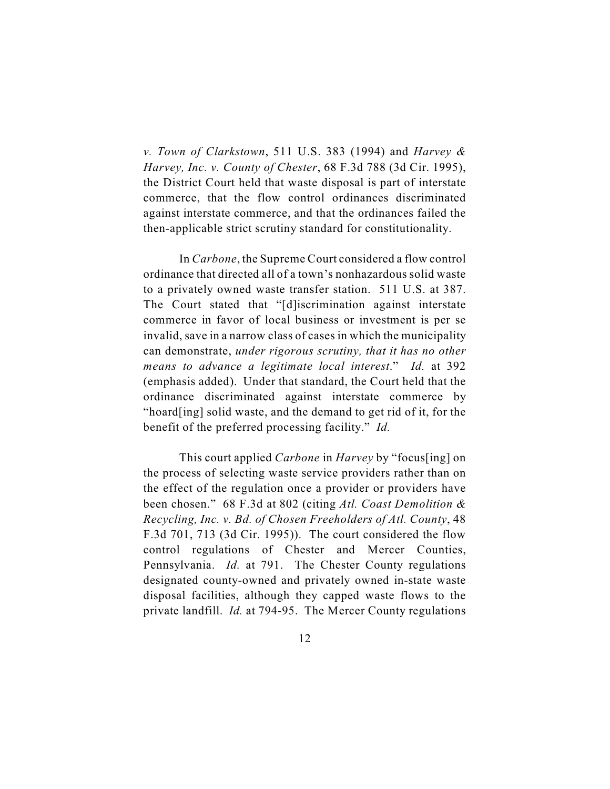*v. Town of Clarkstown*, 511 U.S. 383 (1994) and *Harvey & Harvey, Inc. v. County of Chester*, 68 F.3d 788 (3d Cir. 1995), the District Court held that waste disposal is part of interstate commerce, that the flow control ordinances discriminated against interstate commerce, and that the ordinances failed the then-applicable strict scrutiny standard for constitutionality.

In *Carbone*, the Supreme Court considered a flow control ordinance that directed all of a town's nonhazardous solid waste to a privately owned waste transfer station. 511 U.S. at 387. The Court stated that "[d]iscrimination against interstate commerce in favor of local business or investment is per se invalid, save in a narrow class of cases in which the municipality can demonstrate, *under rigorous scrutiny, that it has no other means to advance a legitimate local interest*." *Id.* at 392 (emphasis added). Under that standard, the Court held that the ordinance discriminated against interstate commerce by "hoard[ing] solid waste, and the demand to get rid of it, for the benefit of the preferred processing facility." *Id.*

This court applied *Carbone* in *Harvey* by "focus[ing] on the process of selecting waste service providers rather than on the effect of the regulation once a provider or providers have been chosen." 68 F.3d at 802 (citing *Atl. Coast Demolition & Recycling, Inc. v. Bd. of Chosen Freeholders of Atl. County*, 48 F.3d 701, 713 (3d Cir. 1995)). The court considered the flow control regulations of Chester and Mercer Counties, Pennsylvania. *Id.* at 791. The Chester County regulations designated county-owned and privately owned in-state waste disposal facilities, although they capped waste flows to the private landfill. *Id.* at 794-95. The Mercer County regulations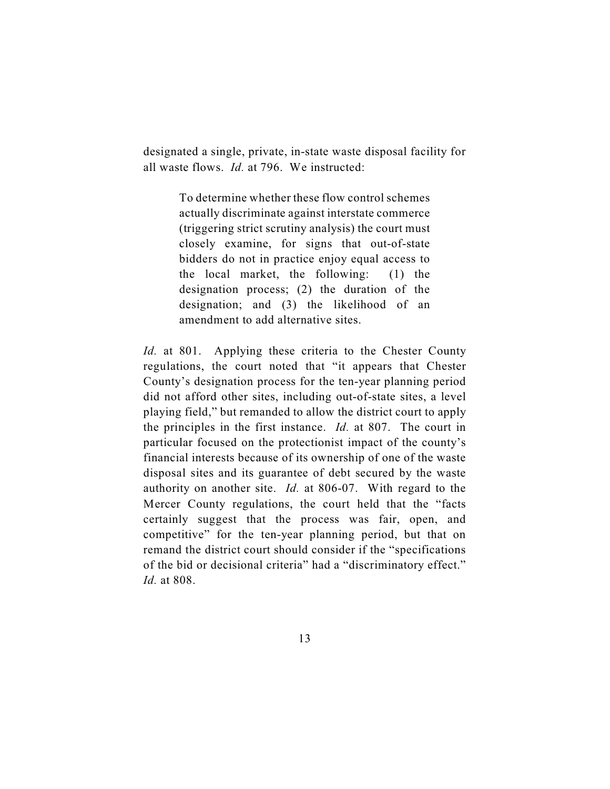designated a single, private, in-state waste disposal facility for all waste flows. *Id.* at 796. We instructed:

> To determine whether these flow control schemes actually discriminate against interstate commerce (triggering strict scrutiny analysis) the court must closely examine, for signs that out-of-state bidders do not in practice enjoy equal access to the local market, the following: (1) the designation process; (2) the duration of the designation; and (3) the likelihood of an amendment to add alternative sites.

*Id.* at 801. Applying these criteria to the Chester County regulations, the court noted that "it appears that Chester County's designation process for the ten-year planning period did not afford other sites, including out-of-state sites, a level playing field," but remanded to allow the district court to apply the principles in the first instance. *Id.* at 807. The court in particular focused on the protectionist impact of the county's financial interests because of its ownership of one of the waste disposal sites and its guarantee of debt secured by the waste authority on another site. *Id.* at 806-07. With regard to the Mercer County regulations, the court held that the "facts certainly suggest that the process was fair, open, and competitive" for the ten-year planning period, but that on remand the district court should consider if the "specifications of the bid or decisional criteria" had a "discriminatory effect." *Id.* at 808.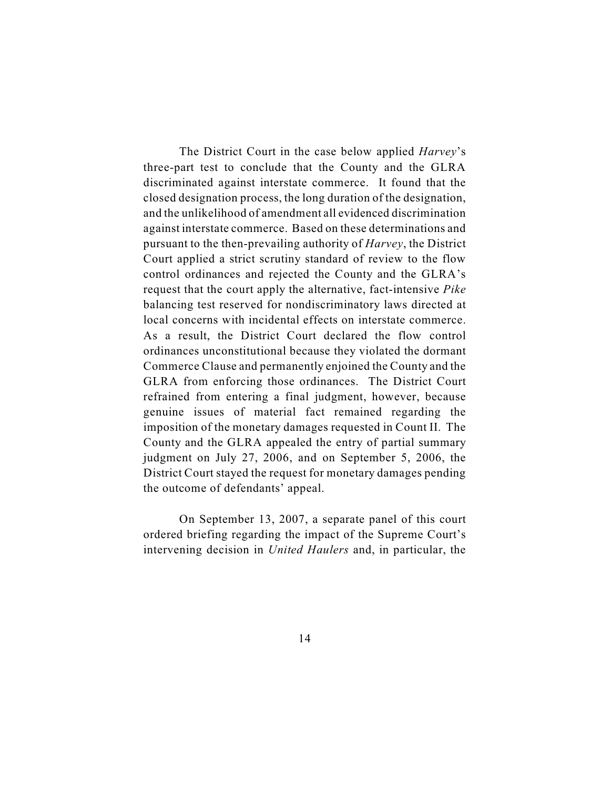The District Court in the case below applied *Harvey*'s three-part test to conclude that the County and the GLRA discriminated against interstate commerce. It found that the closed designation process, the long duration of the designation, and the unlikelihood of amendment all evidenced discrimination against interstate commerce. Based on these determinations and pursuant to the then-prevailing authority of *Harvey*, the District Court applied a strict scrutiny standard of review to the flow control ordinances and rejected the County and the GLRA's request that the court apply the alternative, fact-intensive *Pike* balancing test reserved for nondiscriminatory laws directed at local concerns with incidental effects on interstate commerce. As a result, the District Court declared the flow control ordinances unconstitutional because they violated the dormant Commerce Clause and permanently enjoined the County and the GLRA from enforcing those ordinances. The District Court refrained from entering a final judgment, however, because genuine issues of material fact remained regarding the imposition of the monetary damages requested in Count II. The County and the GLRA appealed the entry of partial summary judgment on July 27, 2006, and on September 5, 2006, the District Court stayed the request for monetary damages pending the outcome of defendants' appeal.

On September 13, 2007, a separate panel of this court ordered briefing regarding the impact of the Supreme Court's intervening decision in *United Haulers* and, in particular, the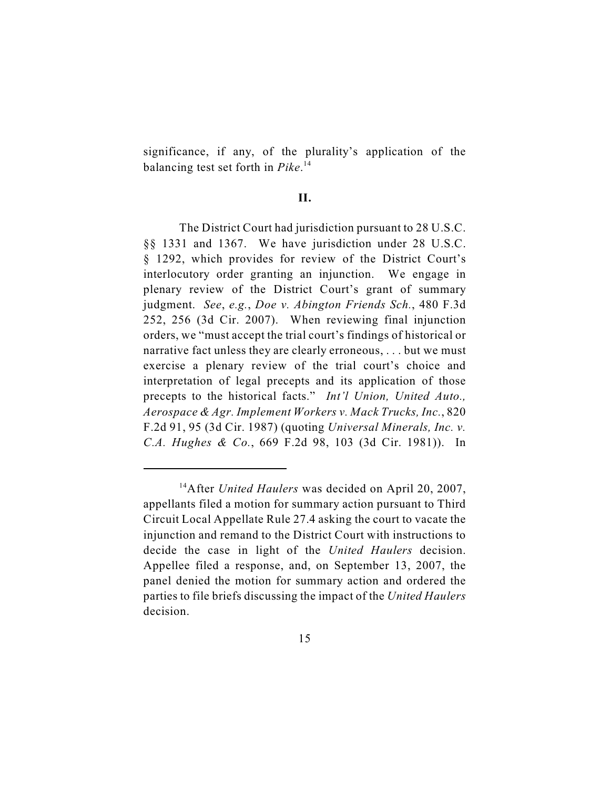significance, if any, of the plurality's application of the balancing test set forth in *Pike*. 14

#### **II.**

The District Court had jurisdiction pursuant to 28 U.S.C. §§ 1331 and 1367. We have jurisdiction under 28 U.S.C. § 1292, which provides for review of the District Court's interlocutory order granting an injunction. We engage in plenary review of the District Court's grant of summary judgment. *See*, *e.g.*, *Doe v. Abington Friends Sch.*, 480 F.3d 252, 256 (3d Cir. 2007). When reviewing final injunction orders, we "must accept the trial court's findings of historical or narrative fact unless they are clearly erroneous, . . . but we must exercise a plenary review of the trial court's choice and interpretation of legal precepts and its application of those precepts to the historical facts." *Int'l Union, United Auto., Aerospace & Agr. Implement Workers v. Mack Trucks, Inc.*, 820 F.2d 91, 95 (3d Cir. 1987) (quoting *Universal Minerals, Inc. v. C.A. Hughes & Co.*, 669 F.2d 98, 103 (3d Cir. 1981)). In

<sup>&</sup>lt;sup>14</sup> After *United Haulers* was decided on April 20, 2007, appellants filed a motion for summary action pursuant to Third Circuit Local Appellate Rule 27.4 asking the court to vacate the injunction and remand to the District Court with instructions to decide the case in light of the *United Haulers* decision. Appellee filed a response, and, on September 13, 2007, the panel denied the motion for summary action and ordered the parties to file briefs discussing the impact of the *United Haulers* decision.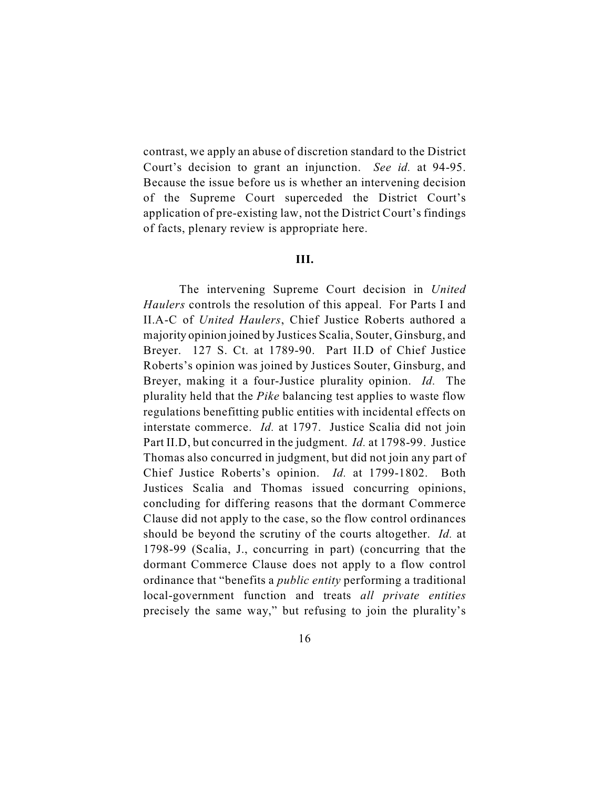contrast, we apply an abuse of discretion standard to the District Court's decision to grant an injunction. *See id.* at 94-95. Because the issue before us is whether an intervening decision of the Supreme Court superceded the District Court's application of pre-existing law, not the District Court's findings of facts, plenary review is appropriate here.

### **III.**

The intervening Supreme Court decision in *United Haulers* controls the resolution of this appeal. For Parts I and II.A-C of *United Haulers*, Chief Justice Roberts authored a majority opinion joined by Justices Scalia, Souter, Ginsburg, and Breyer. 127 S. Ct. at 1789-90. Part II.D of Chief Justice Roberts's opinion was joined by Justices Souter, Ginsburg, and Breyer, making it a four-Justice plurality opinion. *Id.* The plurality held that the *Pike* balancing test applies to waste flow regulations benefitting public entities with incidental effects on interstate commerce. *Id.* at 1797. Justice Scalia did not join Part II.D, but concurred in the judgment. *Id.* at 1798-99. Justice Thomas also concurred in judgment, but did not join any part of Chief Justice Roberts's opinion. *Id.* at 1799-1802. Both Justices Scalia and Thomas issued concurring opinions, concluding for differing reasons that the dormant Commerce Clause did not apply to the case, so the flow control ordinances should be beyond the scrutiny of the courts altogether. *Id.* at 1798-99 (Scalia, J., concurring in part) (concurring that the dormant Commerce Clause does not apply to a flow control ordinance that "benefits a *public entity* performing a traditional local-government function and treats *all private entities* precisely the same way," but refusing to join the plurality's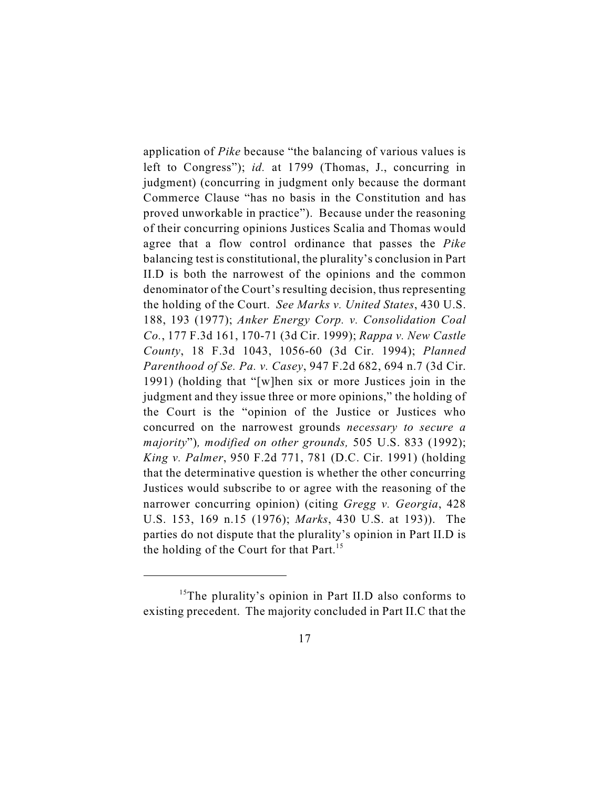application of *Pike* because "the balancing of various values is left to Congress"); *id.* at 1799 (Thomas, J., concurring in judgment) (concurring in judgment only because the dormant Commerce Clause "has no basis in the Constitution and has proved unworkable in practice"). Because under the reasoning of their concurring opinions Justices Scalia and Thomas would agree that a flow control ordinance that passes the *Pike* balancing test is constitutional, the plurality's conclusion in Part II.D is both the narrowest of the opinions and the common denominator of the Court's resulting decision, thus representing the holding of the Court. *See Marks v. United States*, 430 U.S. 188, 193 (1977); *Anker Energy Corp. v. Consolidation Coal Co.*, 177 F.3d 161, 170-71 (3d Cir. 1999); *Rappa v. New Castle County*, 18 F.3d 1043, 1056-60 (3d Cir. 1994); *Planned Parenthood of Se. Pa. v. Casey*, 947 F.2d 682, 694 n.7 (3d Cir. 1991) (holding that "[w]hen six or more Justices join in the judgment and they issue three or more opinions," the holding of the Court is the "opinion of the Justice or Justices who concurred on the narrowest grounds *necessary to secure a majority*")*, modified on other grounds,* 505 U.S. 833 (1992); *King v. Palmer*, 950 F.2d 771, 781 (D.C. Cir. 1991) (holding that the determinative question is whether the other concurring Justices would subscribe to or agree with the reasoning of the narrower concurring opinion) (citing *Gregg v. Georgia*, 428 U.S. 153, 169 n.15 (1976); *Marks*, 430 U.S. at 193)). The parties do not dispute that the plurality's opinion in Part II.D is the holding of the Court for that Part.<sup>15</sup>

<sup>&</sup>lt;sup>15</sup>The plurality's opinion in Part II.D also conforms to existing precedent. The majority concluded in Part II.C that the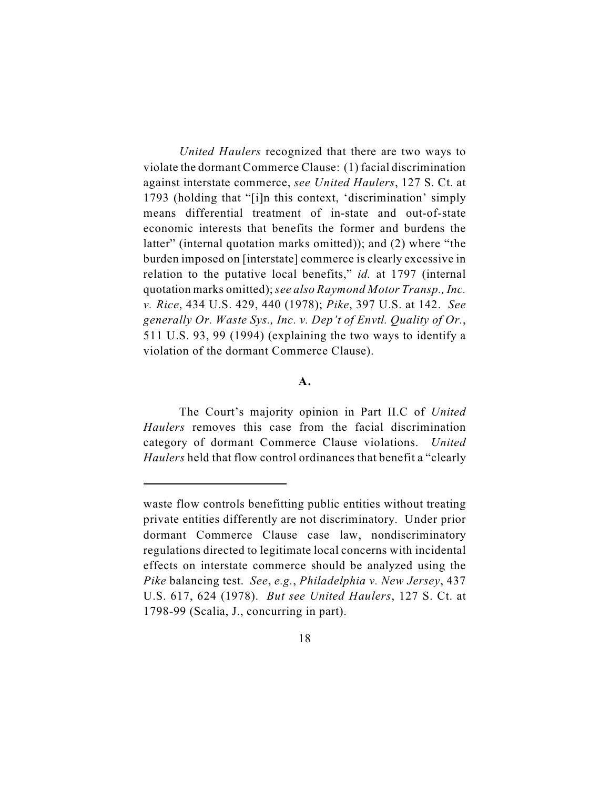*United Haulers* recognized that there are two ways to violate the dormant Commerce Clause: (1) facial discrimination against interstate commerce, *see United Haulers*, 127 S. Ct. at 1793 (holding that "[i]n this context, 'discrimination' simply means differential treatment of in-state and out-of-state economic interests that benefits the former and burdens the latter" (internal quotation marks omitted)); and (2) where "the burden imposed on [interstate] commerce is clearly excessive in relation to the putative local benefits," *id.* at 1797 (internal quotation marks omitted); *see also Raymond Motor Transp., Inc. v. Rice*, 434 U.S. 429, 440 (1978); *Pike*, 397 U.S. at 142. *See generally Or. Waste Sys., Inc. v. Dep't of Envtl. Quality of Or.*, 511 U.S. 93, 99 (1994) (explaining the two ways to identify a violation of the dormant Commerce Clause).

#### **A.**

The Court's majority opinion in Part II.C of *United Haulers* removes this case from the facial discrimination category of dormant Commerce Clause violations. *United Haulers* held that flow control ordinances that benefit a "clearly

waste flow controls benefitting public entities without treating private entities differently are not discriminatory. Under prior dormant Commerce Clause case law, nondiscriminatory regulations directed to legitimate local concerns with incidental effects on interstate commerce should be analyzed using the *Pike* balancing test. *See*, *e.g.*, *Philadelphia v. New Jersey*, 437 U.S. 617, 624 (1978). *But see United Haulers*, 127 S. Ct. at 1798-99 (Scalia, J., concurring in part).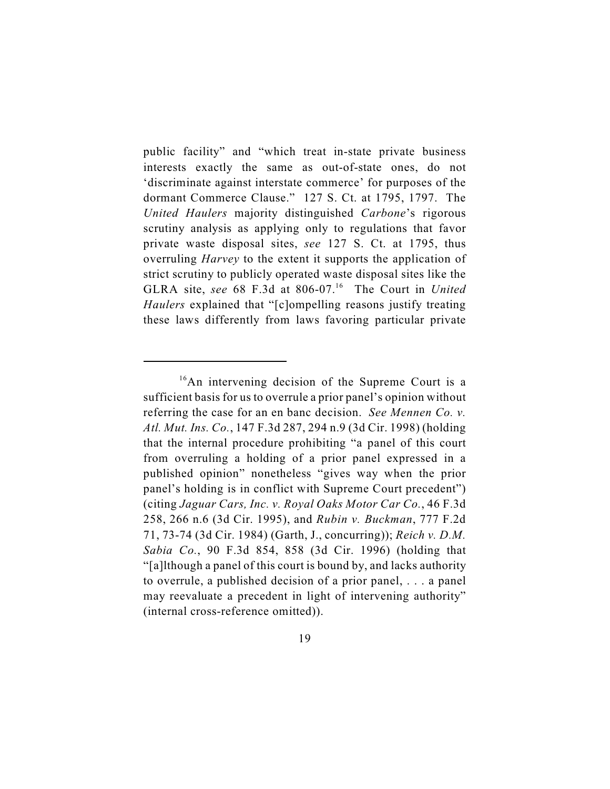public facility" and "which treat in-state private business interests exactly the same as out-of-state ones, do not 'discriminate against interstate commerce' for purposes of the dormant Commerce Clause." 127 S. Ct. at 1795, 1797. The *United Haulers* majority distinguished *Carbone*'s rigorous scrutiny analysis as applying only to regulations that favor private waste disposal sites, *see* 127 S. Ct. at 1795, thus overruling *Harvey* to the extent it supports the application of strict scrutiny to publicly operated waste disposal sites like the GLRA site, see 68 F.3d at 806-07.<sup>16</sup> The Court in *United Haulers* explained that "[c]ompelling reasons justify treating these laws differently from laws favoring particular private

 $^{16}$ An intervening decision of the Supreme Court is a sufficient basis for us to overrule a prior panel's opinion without referring the case for an en banc decision. *See Mennen Co. v. Atl. Mut. Ins. Co.*, 147 F.3d 287, 294 n.9 (3d Cir. 1998) (holding that the internal procedure prohibiting "a panel of this court from overruling a holding of a prior panel expressed in a published opinion" nonetheless "gives way when the prior panel's holding is in conflict with Supreme Court precedent") (citing *Jaguar Cars, Inc. v. Royal Oaks Motor Car Co.*, 46 F.3d 258, 266 n.6 (3d Cir. 1995), and *Rubin v. Buckman*, 777 F.2d 71, 73-74 (3d Cir. 1984) (Garth, J., concurring)); *Reich v. D.M. Sabia Co.*, 90 F.3d 854, 858 (3d Cir. 1996) (holding that "[a]lthough a panel of this court is bound by, and lacks authority to overrule, a published decision of a prior panel, . . . a panel may reevaluate a precedent in light of intervening authority" (internal cross-reference omitted)).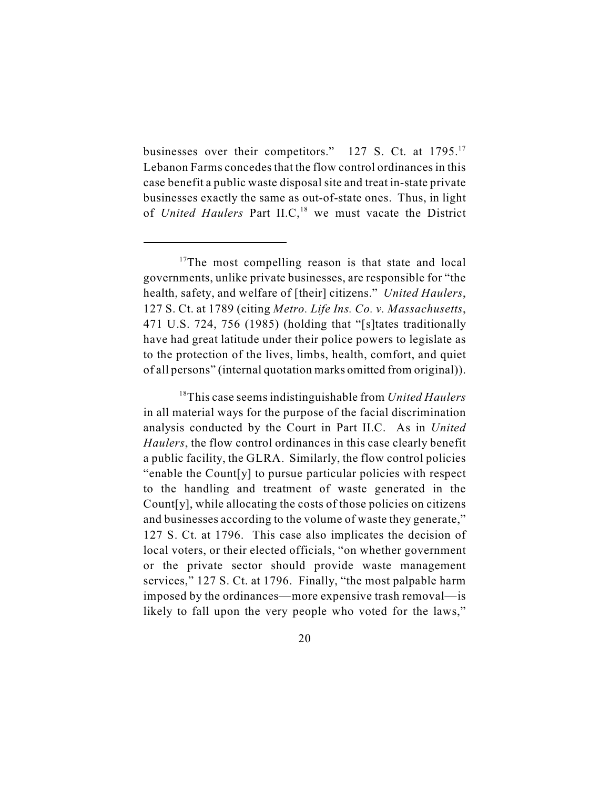businesses over their competitors." 127 S. Ct. at 1795.<sup>17</sup> Lebanon Farms concedes that the flow control ordinances in this case benefit a public waste disposal site and treat in-state private businesses exactly the same as out-of-state ones. Thus, in light of *United Haulers* Part II.C,<sup>18</sup> we must vacate the District

 $17$ The most compelling reason is that state and local governments, unlike private businesses, are responsible for "the health, safety, and welfare of [their] citizens." *United Haulers*, 127 S. Ct. at 1789 (citing *Metro. Life Ins. Co. v. Massachusetts*, 471 U.S. 724, 756 (1985) (holding that "[s]tates traditionally have had great latitude under their police powers to legislate as to the protection of the lives, limbs, health, comfort, and quiet of all persons" (internal quotation marks omitted from original)).

<sup>&</sup>lt;sup>18</sup>This case seems indistinguishable from *United Haulers* in all material ways for the purpose of the facial discrimination analysis conducted by the Court in Part II.C. As in *United Haulers*, the flow control ordinances in this case clearly benefit a public facility, the GLRA. Similarly, the flow control policies "enable the Count[y] to pursue particular policies with respect to the handling and treatment of waste generated in the Count[y], while allocating the costs of those policies on citizens and businesses according to the volume of waste they generate," 127 S. Ct. at 1796. This case also implicates the decision of local voters, or their elected officials, "on whether government or the private sector should provide waste management services," 127 S. Ct. at 1796. Finally, "the most palpable harm imposed by the ordinances—more expensive trash removal—is likely to fall upon the very people who voted for the laws,"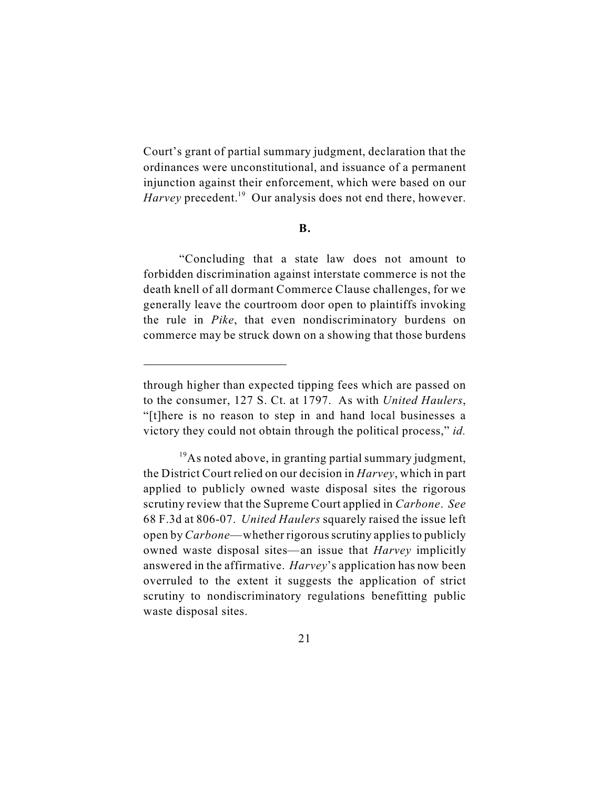Court's grant of partial summary judgment, declaration that the ordinances were unconstitutional, and issuance of a permanent injunction against their enforcement, which were based on our *Harvey* precedent.<sup>19</sup> Our analysis does not end there, however.

**B.**

"Concluding that a state law does not amount to forbidden discrimination against interstate commerce is not the death knell of all dormant Commerce Clause challenges, for we generally leave the courtroom door open to plaintiffs invoking the rule in *Pike*, that even nondiscriminatory burdens on commerce may be struck down on a showing that those burdens

through higher than expected tipping fees which are passed on to the consumer, 127 S. Ct. at 1797. As with *United Haulers*, "[t]here is no reason to step in and hand local businesses a victory they could not obtain through the political process," *id.*

 $19A$ s noted above, in granting partial summary judgment, the District Court relied on our decision in *Harvey*, which in part applied to publicly owned waste disposal sites the rigorous scrutiny review that the Supreme Court applied in *Carbone*. *See* 68 F.3d at 806-07. *United Haulers* squarely raised the issue left open by *Carbone*—whether rigorous scrutiny applies to publicly owned waste disposal sites—an issue that *Harvey* implicitly answered in the affirmative. *Harvey*'s application has now been overruled to the extent it suggests the application of strict scrutiny to nondiscriminatory regulations benefitting public waste disposal sites.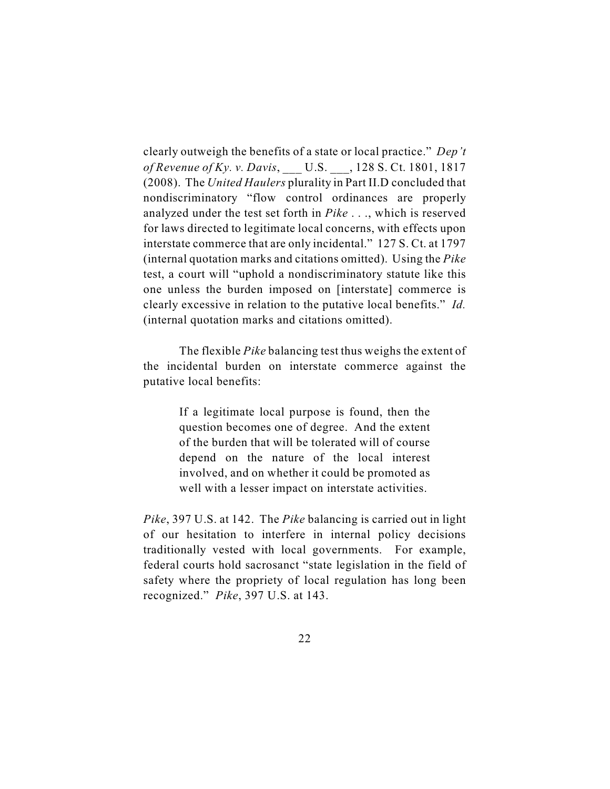clearly outweigh the benefits of a state or local practice." *Dep't of Revenue of Ky. v. Davis*, \_\_\_ U.S. \_\_\_, 128 S. Ct. 1801, 1817 (2008). The *United Haulers* plurality in Part II.D concluded that nondiscriminatory "flow control ordinances are properly analyzed under the test set forth in *Pike* . . ., which is reserved for laws directed to legitimate local concerns, with effects upon interstate commerce that are only incidental." 127 S. Ct. at 1797 (internal quotation marks and citations omitted). Using the *Pike* test, a court will "uphold a nondiscriminatory statute like this one unless the burden imposed on [interstate] commerce is clearly excessive in relation to the putative local benefits." *Id.* (internal quotation marks and citations omitted).

The flexible *Pike* balancing test thus weighs the extent of the incidental burden on interstate commerce against the putative local benefits:

> If a legitimate local purpose is found, then the question becomes one of degree. And the extent of the burden that will be tolerated will of course depend on the nature of the local interest involved, and on whether it could be promoted as well with a lesser impact on interstate activities.

*Pike*, 397 U.S. at 142. The *Pike* balancing is carried out in light of our hesitation to interfere in internal policy decisions traditionally vested with local governments. For example, federal courts hold sacrosanct "state legislation in the field of safety where the propriety of local regulation has long been recognized." *Pike*, 397 U.S. at 143.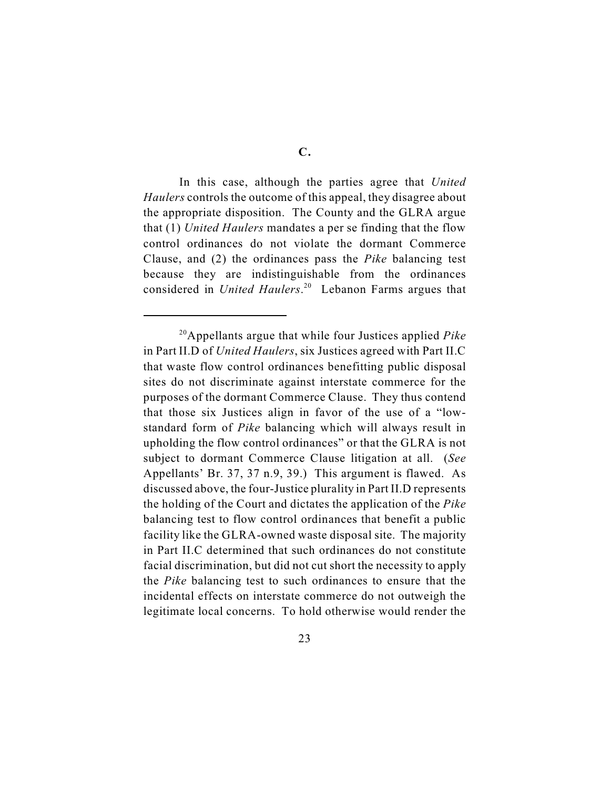**C.**

In this case, although the parties agree that *United Haulers* controls the outcome of this appeal, they disagree about the appropriate disposition. The County and the GLRA argue that (1) *United Haulers* mandates a per se finding that the flow control ordinances do not violate the dormant Commerce Clause, and (2) the ordinances pass the *Pike* balancing test because they are indistinguishable from the ordinances considered in *United Haulers*.<sup>20</sup> Lebanon Farms argues that

<sup>&</sup>lt;sup>20</sup>Appellants argue that while four Justices applied *Pike* in Part II.D of *United Haulers*, six Justices agreed with Part II.C that waste flow control ordinances benefitting public disposal sites do not discriminate against interstate commerce for the purposes of the dormant Commerce Clause. They thus contend that those six Justices align in favor of the use of a "lowstandard form of *Pike* balancing which will always result in upholding the flow control ordinances" or that the GLRA is not subject to dormant Commerce Clause litigation at all. (*See* Appellants' Br. 37, 37 n.9, 39.) This argument is flawed. As discussed above, the four-Justice plurality in Part II.D represents the holding of the Court and dictates the application of the *Pike* balancing test to flow control ordinances that benefit a public facility like the GLRA-owned waste disposal site. The majority in Part II.C determined that such ordinances do not constitute facial discrimination, but did not cut short the necessity to apply the *Pike* balancing test to such ordinances to ensure that the incidental effects on interstate commerce do not outweigh the legitimate local concerns. To hold otherwise would render the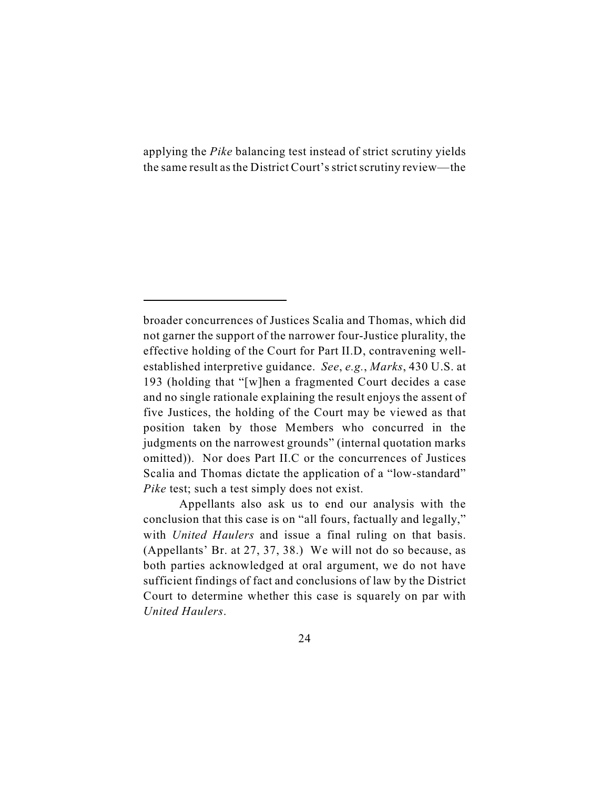applying the *Pike* balancing test instead of strict scrutiny yields the same result as the District Court's strict scrutiny review—the

Appellants also ask us to end our analysis with the conclusion that this case is on "all fours, factually and legally," with *United Haulers* and issue a final ruling on that basis. (Appellants' Br. at 27, 37, 38.) We will not do so because, as both parties acknowledged at oral argument, we do not have sufficient findings of fact and conclusions of law by the District Court to determine whether this case is squarely on par with *United Haulers*.

broader concurrences of Justices Scalia and Thomas, which did not garner the support of the narrower four-Justice plurality, the effective holding of the Court for Part II.D, contravening wellestablished interpretive guidance. *See*, *e.g.*, *Marks*, 430 U.S. at 193 (holding that "[w]hen a fragmented Court decides a case and no single rationale explaining the result enjoys the assent of five Justices, the holding of the Court may be viewed as that position taken by those Members who concurred in the judgments on the narrowest grounds" (internal quotation marks omitted)). Nor does Part II.C or the concurrences of Justices Scalia and Thomas dictate the application of a "low-standard" *Pike* test; such a test simply does not exist.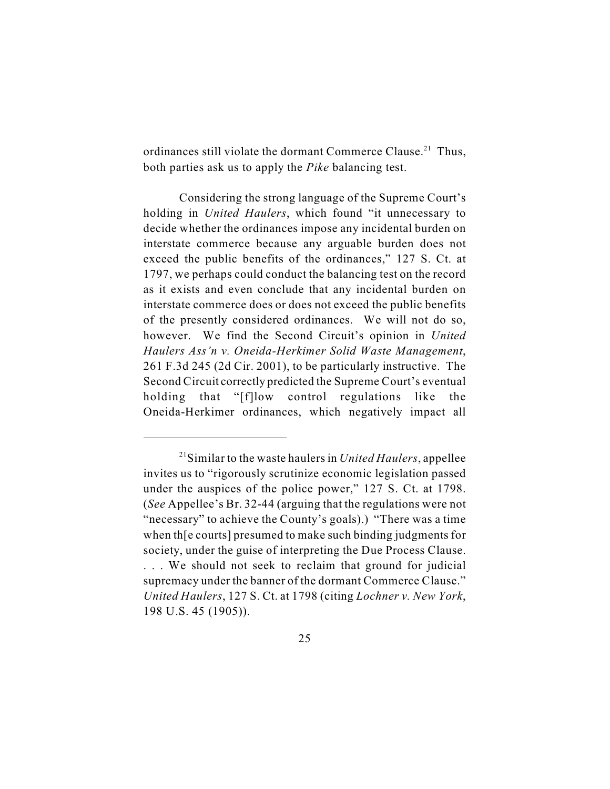ordinances still violate the dormant Commerce Clause.<sup>21</sup> Thus, both parties ask us to apply the *Pike* balancing test.

Considering the strong language of the Supreme Court's holding in *United Haulers*, which found "it unnecessary to decide whether the ordinances impose any incidental burden on interstate commerce because any arguable burden does not exceed the public benefits of the ordinances," 127 S. Ct. at 1797, we perhaps could conduct the balancing test on the record as it exists and even conclude that any incidental burden on interstate commerce does or does not exceed the public benefits of the presently considered ordinances. We will not do so, however. We find the Second Circuit's opinion in *United Haulers Ass'n v. Oneida-Herkimer Solid Waste Management*, 261 F.3d 245 (2d Cir. 2001), to be particularly instructive. The Second Circuit correctly predicted the Supreme Court's eventual holding that "[f]low control regulations like the Oneida-Herkimer ordinances, which negatively impact all

 $21$ Similar to the waste haulers in *United Haulers*, appellee invites us to "rigorously scrutinize economic legislation passed under the auspices of the police power," 127 S. Ct. at 1798. (*See* Appellee's Br. 32-44 (arguing that the regulations were not "necessary" to achieve the County's goals).) "There was a time when th[e courts] presumed to make such binding judgments for society, under the guise of interpreting the Due Process Clause. . . . We should not seek to reclaim that ground for judicial supremacy under the banner of the dormant Commerce Clause." *United Haulers*, 127 S. Ct. at 1798 (citing *Lochner v. New York*, 198 U.S. 45 (1905)).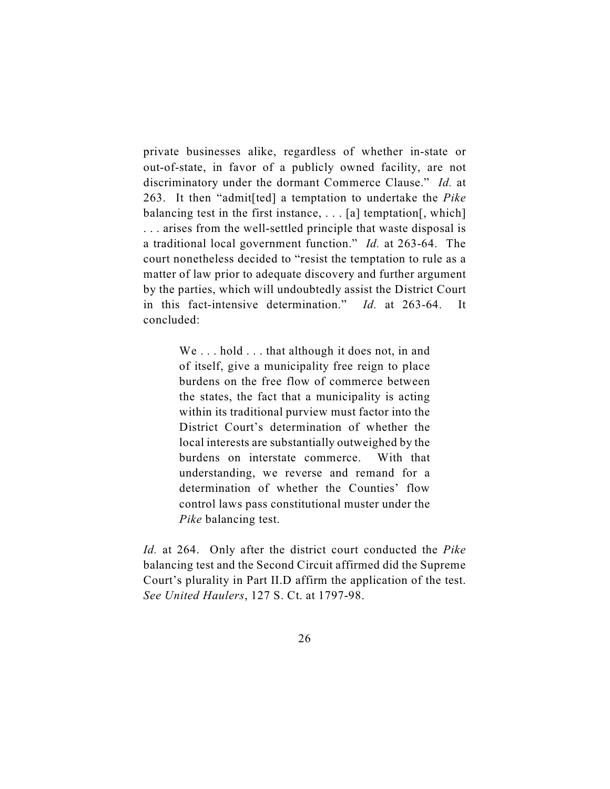private businesses alike, regardless of whether in-state or out-of-state, in favor of a publicly owned facility, are not discriminatory under the dormant Commerce Clause." *Id.* at 263. It then "admit[ted] a temptation to undertake the *Pike* balancing test in the first instance,  $\ldots$  [a] temptation[, which] . . . arises from the well-settled principle that waste disposal is a traditional local government function." *Id.* at 263-64. The court nonetheless decided to "resist the temptation to rule as a matter of law prior to adequate discovery and further argument by the parties, which will undoubtedly assist the District Court in this fact-intensive determination." *Id.* at 263-64. It concluded:

> We ... hold ... that although it does not, in and of itself, give a municipality free reign to place burdens on the free flow of commerce between the states, the fact that a municipality is acting within its traditional purview must factor into the District Court's determination of whether the local interests are substantially outweighed by the burdens on interstate commerce. With that understanding, we reverse and remand for a determination of whether the Counties' flow control laws pass constitutional muster under the *Pike* balancing test.

*Id.* at 264. Only after the district court conducted the *Pike* balancing test and the Second Circuit affirmed did the Supreme Court's plurality in Part II.D affirm the application of the test. *See United Haulers*, 127 S. Ct. at 1797-98.